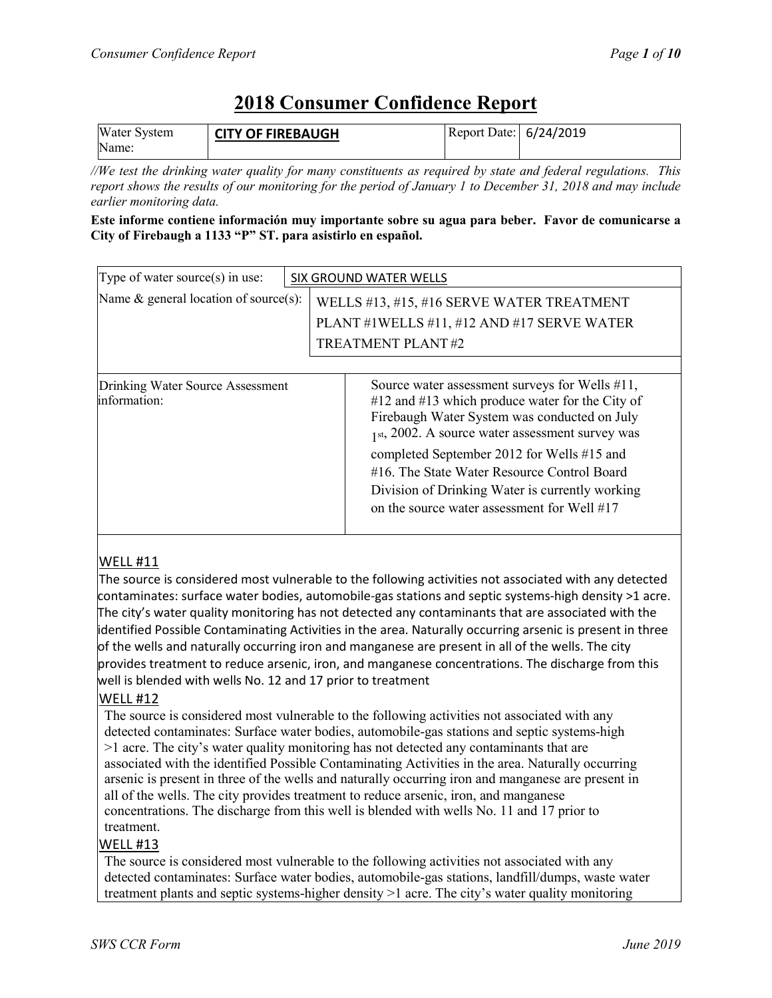# **2018 Consumer Confidence Report**

| <b>Water System</b> | <b>CITY OF FIREBAUGH</b> | Report Date: 6/24/2019 |  |
|---------------------|--------------------------|------------------------|--|
| Name:               |                          |                        |  |

*//We test the drinking water quality for many constituents as required by state and federal regulations. This report shows the results of our monitoring for the period of January 1 to December 31, 2018 and may include earlier monitoring data.*

#### **Este informe contiene información muy importante sobre su agua para beber. Favor de comunicarse a City of Firebaugh a 1133 "P" ST. para asistirlo en español.**

| Type of water source $(s)$ in use:               |  | SIX GROUND WATER WELLS                                                                                                                                                                                                                                                                                                                                                                                 |  |  |  |  |
|--------------------------------------------------|--|--------------------------------------------------------------------------------------------------------------------------------------------------------------------------------------------------------------------------------------------------------------------------------------------------------------------------------------------------------------------------------------------------------|--|--|--|--|
| Name $\&$ general location of source(s):         |  | WELLS #13, #15, #16 SERVE WATER TREATMENT<br>PLANT #1WELLS #11, #12 AND #17 SERVE WATER<br>TREATMENT PLANT#2                                                                                                                                                                                                                                                                                           |  |  |  |  |
|                                                  |  |                                                                                                                                                                                                                                                                                                                                                                                                        |  |  |  |  |
| Drinking Water Source Assessment<br>information: |  | Source water assessment surveys for Wells #11,<br>#12 and #13 which produce water for the City of<br>Firebaugh Water System was conducted on July<br>$1$ st, 2002. A source water assessment survey was<br>completed September 2012 for Wells #15 and<br>#16. The State Water Resource Control Board<br>Division of Drinking Water is currently working<br>on the source water assessment for Well #17 |  |  |  |  |

### WELL #11

The source is considered most vulnerable to the following activities not associated with any detected contaminates: surface water bodies, automobile-gas stations and septic systems-high density >1 acre. The city's water quality monitoring has not detected any contaminants that are associated with the identified Possible Contaminating Activities in the area. Naturally occurring arsenic is present in three of the wells and naturally occurring iron and manganese are present in all of the wells. The city provides treatment to reduce arsenic, iron, and manganese concentrations. The discharge from this well is blended with wells No. 12 and 17 prior to treatment

### WELL #12

The source is considered most vulnerable to the following activities not associated with any detected contaminates: Surface water bodies, automobile-gas stations and septic systems-high >1 acre. The city's water quality monitoring has not detected any contaminants that are associated with the identified Possible Contaminating Activities in the area. Naturally occurring arsenic is present in three of the wells and naturally occurring iron and manganese are present in all of the wells. The city provides treatment to reduce arsenic, iron, and manganese concentrations. The discharge from this well is blended with wells No. 11 and 17 prior to treatment.

### WELL #13

The source is considered most vulnerable to the following activities not associated with any detected contaminates: Surface water bodies, automobile-gas stations, landfill/dumps, waste water treatment plants and septic systems-higher density >1 acre. The city's water quality monitoring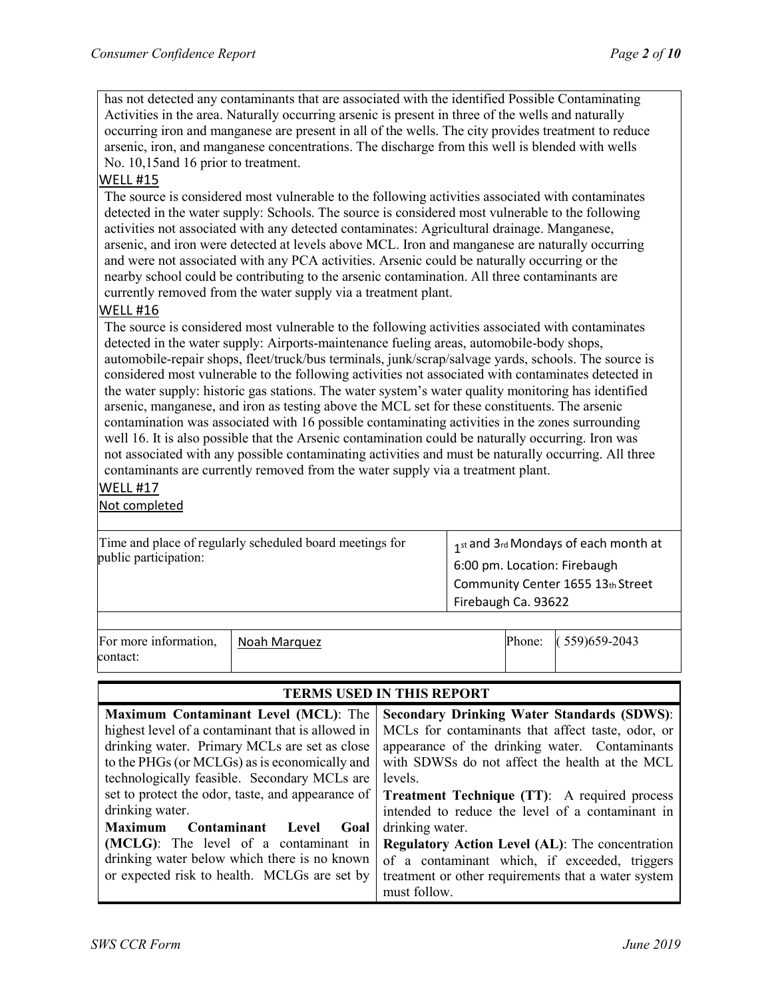has not detected any contaminants that are associated with the identified Possible Contaminating Activities in the area. Naturally occurring arsenic is present in three of the wells and naturally occurring iron and manganese are present in all of the wells. The city provides treatment to reduce arsenic, iron, and manganese concentrations. The discharge from this well is blended with wells No. 10,15and 16 prior to treatment.

#### WELL #15

The source is considered most vulnerable to the following activities associated with contaminates detected in the water supply: Schools. The source is considered most vulnerable to the following activities not associated with any detected contaminates: Agricultural drainage. Manganese, arsenic, and iron were detected at levels above MCL. Iron and manganese are naturally occurring and were not associated with any PCA activities. Arsenic could be naturally occurring or the nearby school could be contributing to the arsenic contamination. All three contaminants are currently removed from the water supply via a treatment plant.

#### WELL #16

The source is considered most vulnerable to the following activities associated with contaminates detected in the water supply: Airports-maintenance fueling areas, automobile-body shops, automobile-repair shops, fleet/truck/bus terminals, junk/scrap/salvage yards, schools. The source is considered most vulnerable to the following activities not associated with contaminates detected in the water supply: historic gas stations. The water system's water quality monitoring has identified arsenic, manganese, and iron as testing above the MCL set for these constituents. The arsenic contamination was associated with 16 possible contaminating activities in the zones surrounding well 16. It is also possible that the Arsenic contamination could be naturally occurring. Iron was not associated with any possible contaminating activities and must be naturally occurring. All three contaminants are currently removed from the water supply via a treatment plant.

#### WELL #17

Not completed

| public participation: | Time and place of regularly scheduled board meetings for | 1st and 3rd Mondays of each month at<br>6:00 pm. Location: Firebaugh<br>Community Center 1655 13th Street<br>Firebaugh Ca. 93622 |                  |  |  |  |
|-----------------------|----------------------------------------------------------|----------------------------------------------------------------------------------------------------------------------------------|------------------|--|--|--|
| For more information, | Noah Marquez                                             | Phone:                                                                                                                           | $(559)$ 659-2043 |  |  |  |
| contact:              |                                                          |                                                                                                                                  |                  |  |  |  |

# **TERMS USED IN THIS REPORT**

| <b>Maximum Contaminant Level (MCL): The</b>       | <b>Secondary Drinking Water Standards (SDWS):</b>      |  |  |
|---------------------------------------------------|--------------------------------------------------------|--|--|
| highest level of a contaminant that is allowed in | MCLs for contaminants that affect taste, odor, or      |  |  |
| drinking water. Primary MCLs are set as close     | appearance of the drinking water. Contaminants         |  |  |
| to the PHGs (or MCLGs) as is economically and     | with SDWSs do not affect the health at the MCL         |  |  |
| technologically feasible. Secondary MCLs are      | levels.                                                |  |  |
| set to protect the odor, taste, and appearance of | <b>Treatment Technique (TT):</b> A required process    |  |  |
| drinking water.                                   | intended to reduce the level of a contaminant in       |  |  |
| Maximum<br>Contaminant Level<br>Goal              | drinking water.                                        |  |  |
| (MCLG): The level of a contaminant in             | <b>Regulatory Action Level (AL):</b> The concentration |  |  |
| drinking water below which there is no known      | of a contaminant which, if exceeded, triggers          |  |  |
| or expected risk to health. MCLGs are set by      | treatment or other requirements that a water system    |  |  |
|                                                   | must follow.                                           |  |  |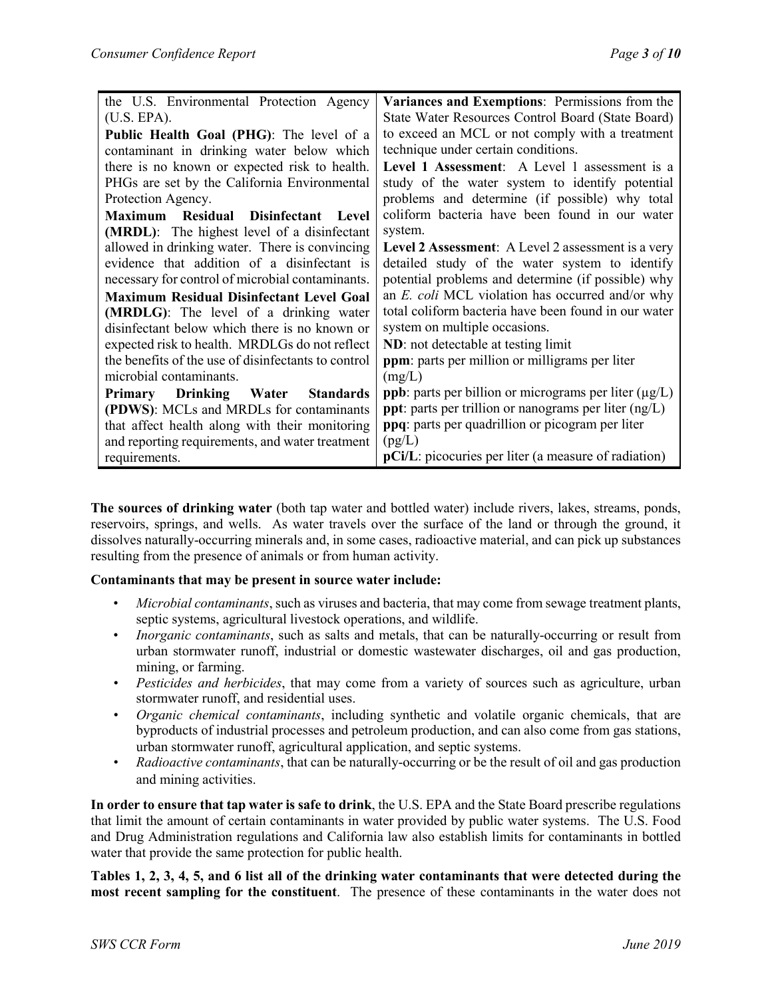| the U.S. Environmental Protection Agency            | Variances and Exemptions: Permissions from the                     |  |  |  |  |
|-----------------------------------------------------|--------------------------------------------------------------------|--|--|--|--|
| (U.S. EPA).                                         | State Water Resources Control Board (State Board)                  |  |  |  |  |
| Public Health Goal (PHG): The level of a            | to exceed an MCL or not comply with a treatment                    |  |  |  |  |
| contaminant in drinking water below which           | technique under certain conditions.                                |  |  |  |  |
| there is no known or expected risk to health.       | Level 1 Assessment: A Level 1 assessment is a                      |  |  |  |  |
| PHGs are set by the California Environmental        | study of the water system to identify potential                    |  |  |  |  |
| Protection Agency.                                  | problems and determine (if possible) why total                     |  |  |  |  |
| Residual Disinfectant Level<br><b>Maximum</b>       | coliform bacteria have been found in our water                     |  |  |  |  |
| (MRDL): The highest level of a disinfectant         | system.                                                            |  |  |  |  |
| allowed in drinking water. There is convincing      | Level 2 Assessment: A Level 2 assessment is a very                 |  |  |  |  |
| evidence that addition of a disinfectant is         | detailed study of the water system to identify                     |  |  |  |  |
| necessary for control of microbial contaminants.    | potential problems and determine (if possible) why                 |  |  |  |  |
| <b>Maximum Residual Disinfectant Level Goal</b>     | an E. coli MCL violation has occurred and/or why                   |  |  |  |  |
| (MRDLG): The level of a drinking water              | total coliform bacteria have been found in our water               |  |  |  |  |
| disinfectant below which there is no known or       | system on multiple occasions.                                      |  |  |  |  |
| expected risk to health. MRDLGs do not reflect      | ND: not detectable at testing limit                                |  |  |  |  |
| the benefits of the use of disinfectants to control | ppm: parts per million or milligrams per liter                     |  |  |  |  |
| microbial contaminants.                             | (mg/L)                                                             |  |  |  |  |
| <b>Primary Drinking Water</b><br><b>Standards</b>   | <b>ppb</b> : parts per billion or micrograms per liter $(\mu g/L)$ |  |  |  |  |
| (PDWS): MCLs and MRDLs for contaminants             | <b>ppt</b> : parts per trillion or nanograms per liter $(ng/L)$    |  |  |  |  |
| that affect health along with their monitoring      | <b>ppq</b> : parts per quadrillion or picogram per liter           |  |  |  |  |
| and reporting requirements, and water treatment     | (pg/L)                                                             |  |  |  |  |
| requirements.                                       | <b>pCi/L</b> : picocuries per liter (a measure of radiation)       |  |  |  |  |

**The sources of drinking water** (both tap water and bottled water) include rivers, lakes, streams, ponds, reservoirs, springs, and wells. As water travels over the surface of the land or through the ground, it dissolves naturally-occurring minerals and, in some cases, radioactive material, and can pick up substances resulting from the presence of animals or from human activity.

#### **Contaminants that may be present in source water include:**

- *Microbial contaminants*, such as viruses and bacteria, that may come from sewage treatment plants, septic systems, agricultural livestock operations, and wildlife.
- *Inorganic contaminants*, such as salts and metals, that can be naturally-occurring or result from urban stormwater runoff, industrial or domestic wastewater discharges, oil and gas production, mining, or farming.
- *Pesticides and herbicides*, that may come from a variety of sources such as agriculture, urban stormwater runoff, and residential uses.
- *Organic chemical contaminants*, including synthetic and volatile organic chemicals, that are byproducts of industrial processes and petroleum production, and can also come from gas stations, urban stormwater runoff, agricultural application, and septic systems.
- *Radioactive contaminants*, that can be naturally-occurring or be the result of oil and gas production and mining activities.

**In order to ensure that tap water is safe to drink**, the U.S. EPA and the State Board prescribe regulations that limit the amount of certain contaminants in water provided by public water systems. The U.S. Food and Drug Administration regulations and California law also establish limits for contaminants in bottled water that provide the same protection for public health.

**Tables 1, 2, 3, 4, 5, and 6 list all of the drinking water contaminants that were detected during the most recent sampling for the constituent**. The presence of these contaminants in the water does not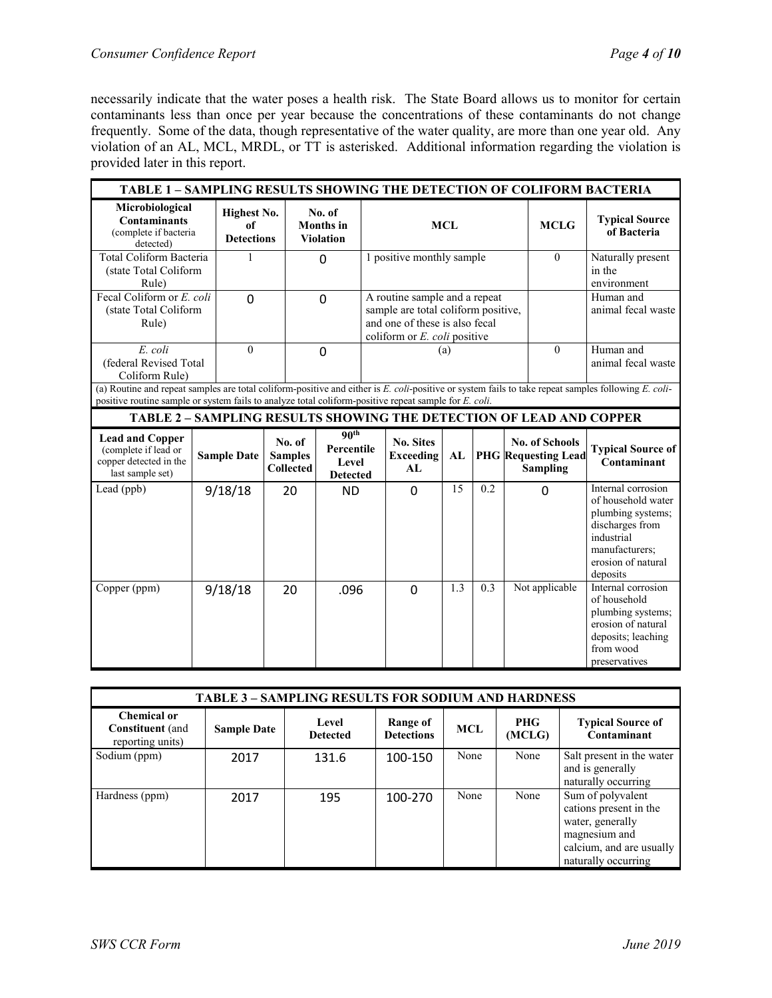necessarily indicate that the water poses a health risk. The State Board allows us to monitor for certain contaminants less than once per year because the concentrations of these contaminants do not change frequently. Some of the data, though representative of the water quality, are more than one year old. Any violation of an AL, MCL, MRDL, or TT is asterisked. Additional information regarding the violation is provided later in this report.

|                                                                                                       | TABLE 1 - SAMPLING RESULTS SHOWING THE DETECTION OF COLIFORM BACTERIA |                                               |                                              |                                                            |            |                                                                                                        |                           |                                      |                                                                            |                                                                                                                                                     |
|-------------------------------------------------------------------------------------------------------|-----------------------------------------------------------------------|-----------------------------------------------|----------------------------------------------|------------------------------------------------------------|------------|--------------------------------------------------------------------------------------------------------|---------------------------|--------------------------------------|----------------------------------------------------------------------------|-----------------------------------------------------------------------------------------------------------------------------------------------------|
| Microbiological<br><b>Contaminants</b><br>(complete if bacteria<br>detected)                          |                                                                       | <b>Highest No.</b><br>of<br><b>Detections</b> |                                              | No. of<br><b>Months</b> in<br><b>Violation</b>             | <b>MCL</b> |                                                                                                        | <b>MCLG</b>               | <b>Typical Source</b><br>of Bacteria |                                                                            |                                                                                                                                                     |
| Total Coliform Bacteria<br>(state Total Coliform<br>Rule)                                             |                                                                       | 1                                             |                                              | $\mathbf 0$                                                |            |                                                                                                        | 1 positive monthly sample |                                      |                                                                            | Naturally present<br>in the<br>environment                                                                                                          |
| Fecal Coliform or E. coli<br>(state Total Coliform<br>Rule)                                           |                                                                       | $\overline{0}$                                |                                              | $\overline{0}$                                             |            | A routine sample and a repeat<br>sample are total coliform positive,<br>and one of these is also fecal |                           |                                      |                                                                            | Human and<br>animal fecal waste                                                                                                                     |
| E. coli<br>(federal Revised Total<br>Coliform Rule)                                                   |                                                                       | $\theta$                                      |                                              | $\overline{0}$                                             |            | coliform or E. coli positive<br>(a)                                                                    |                           |                                      | $\theta$                                                                   | Human and<br>animal fecal waste                                                                                                                     |
| positive routine sample or system fails to analyze total coliform-positive repeat sample for E. coli. |                                                                       |                                               |                                              |                                                            |            |                                                                                                        |                           |                                      |                                                                            | (a) Routine and repeat samples are total coliform-positive and either is E. coli-positive or system fails to take repeat samples following E. coli- |
|                                                                                                       |                                                                       |                                               |                                              |                                                            |            |                                                                                                        |                           |                                      | <b>TABLE 2 - SAMPLING RESULTS SHOWING THE DETECTION OF LEAD AND COPPER</b> |                                                                                                                                                     |
| <b>Lead and Copper</b><br>(complete if lead or<br>copper detected in the<br>last sample set)          |                                                                       | <b>Sample Date</b>                            | No. of<br><b>Samples</b><br><b>Collected</b> | 90 <sup>th</sup><br>Percentile<br>Level<br><b>Detected</b> |            | <b>No. Sites</b><br><b>Exceeding</b><br>AL                                                             | AL                        |                                      | <b>No. of Schools</b><br><b>PHG</b> Requesting Lead<br><b>Sampling</b>     | <b>Typical Source of</b><br>Contaminant                                                                                                             |
| Lead (ppb)                                                                                            |                                                                       | 9/18/18                                       | 20                                           | <b>ND</b>                                                  |            | $\mathbf 0$                                                                                            | 15                        | 0.2                                  | 0                                                                          | Internal corrosion<br>of household water<br>plumbing systems;<br>discharges from<br>industrial<br>manufacturers:<br>erosion of natural<br>deposits  |
| Copper (ppm)                                                                                          |                                                                       | 9/18/18                                       | 20                                           | .096                                                       |            | $\overline{0}$                                                                                         | 1.3                       | 0.3                                  | Not applicable                                                             | Internal corrosion<br>of household<br>plumbing systems;<br>erosion of natural<br>deposits; leaching<br>from wood<br>preservatives                   |

| <b>TABLE 3 - SAMPLING RESULTS FOR SODIUM AND HARDNESS</b>  |                    |                          |                               |            |                      |                                                                                                                                     |  |  |
|------------------------------------------------------------|--------------------|--------------------------|-------------------------------|------------|----------------------|-------------------------------------------------------------------------------------------------------------------------------------|--|--|
| Chemical or<br><b>Constituent</b> (and<br>reporting units) | <b>Sample Date</b> | Level<br><b>Detected</b> | Range of<br><b>Detections</b> | <b>MCL</b> | <b>PHG</b><br>(MCLG) | <b>Typical Source of</b><br>Contaminant                                                                                             |  |  |
| Sodium (ppm)                                               | 2017               | 131.6                    | 100-150                       | None       | None                 | Salt present in the water<br>and is generally<br>naturally occurring                                                                |  |  |
| Hardness (ppm)                                             | 2017               | 195                      | 100-270                       | None       | None                 | Sum of polyvalent<br>cations present in the<br>water, generally<br>magnesium and<br>calcium, and are usually<br>naturally occurring |  |  |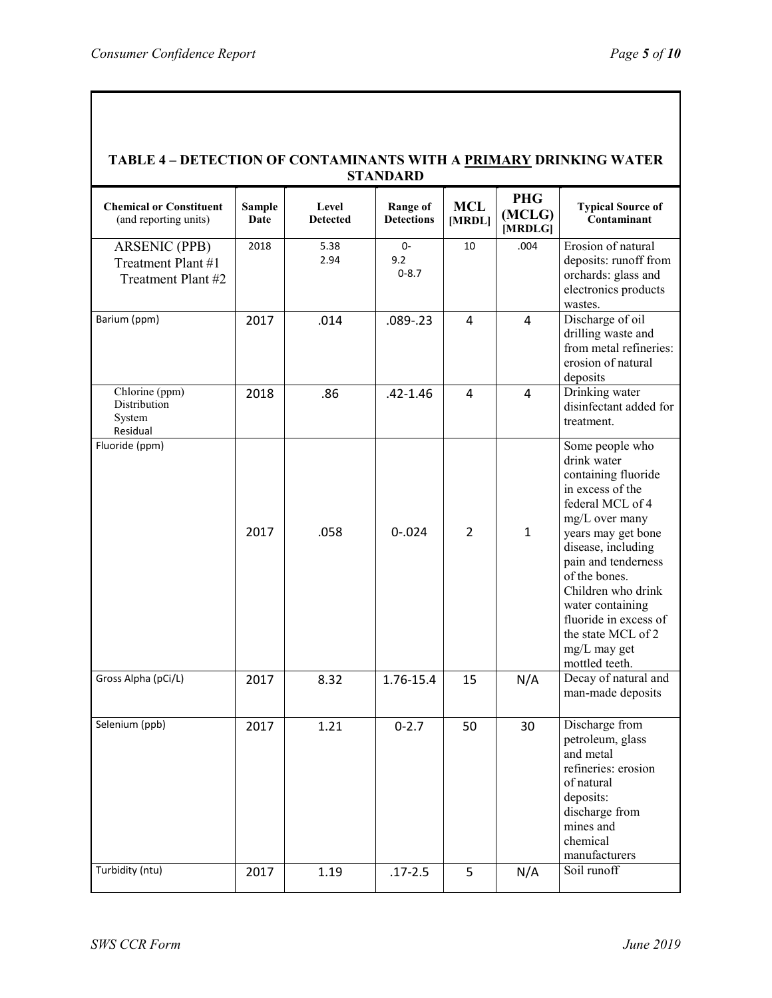| TABLE 4 - DETECTION OF CONTAMINANTS WITH A PRIMARY DRINKING WATER<br><b>STANDARD</b> |                       |                          |                                      |                      |                                 |                                                                                                                                                                                                                                                                                                                                |  |  |
|--------------------------------------------------------------------------------------|-----------------------|--------------------------|--------------------------------------|----------------------|---------------------------------|--------------------------------------------------------------------------------------------------------------------------------------------------------------------------------------------------------------------------------------------------------------------------------------------------------------------------------|--|--|
| <b>Chemical or Constituent</b><br>(and reporting units)                              | <b>Sample</b><br>Date | Level<br><b>Detected</b> | <b>Range of</b><br><b>Detections</b> | <b>MCL</b><br>[MRDL] | <b>PHG</b><br>(MCLG)<br>[MRDLG] | <b>Typical Source of</b><br>Contaminant                                                                                                                                                                                                                                                                                        |  |  |
| <b>ARSENIC (PPB)</b><br>Treatment Plant #1<br>Treatment Plant #2                     | 2018                  | 5.38<br>2.94             | $0-$<br>9.2<br>$0 - 8.7$             | 10                   | .004                            | Erosion of natural<br>deposits: runoff from<br>orchards: glass and<br>electronics products<br>wastes.                                                                                                                                                                                                                          |  |  |
| Barium (ppm)                                                                         | 2017                  | .014                     | $.089 - .23$                         | 4                    | $\overline{a}$                  | Discharge of oil<br>drilling waste and<br>from metal refineries:<br>erosion of natural<br>deposits                                                                                                                                                                                                                             |  |  |
| Chlorine (ppm)<br>Distribution<br>System<br>Residual                                 | 2018                  | .86                      | $.42 - 1.46$                         | 4                    | $\overline{4}$                  | Drinking water<br>disinfectant added for<br>treatment.                                                                                                                                                                                                                                                                         |  |  |
| Fluoride (ppm)                                                                       | 2017                  | .058                     | $0 - 024$                            | 2                    | $\mathbf{1}$                    | Some people who<br>drink water<br>containing fluoride<br>in excess of the<br>federal MCL of 4<br>mg/L over many<br>years may get bone<br>disease, including<br>pain and tenderness<br>of the bones.<br>Children who drink<br>water containing<br>fluoride in excess of<br>the state MCL of 2<br>mg/L may get<br>mottled teeth. |  |  |
| Gross Alpha (pCi/L)                                                                  | 2017                  | 8.32                     | 1.76-15.4                            | 15                   | N/A                             | Decay of natural and<br>man-made deposits                                                                                                                                                                                                                                                                                      |  |  |
| Selenium (ppb)                                                                       | 2017                  | 1.21                     | $0 - 2.7$                            | 50                   | 30                              | Discharge from<br>petroleum, glass<br>and metal<br>refineries: erosion<br>of natural<br>deposits:<br>discharge from<br>mines and<br>chemical<br>manufacturers                                                                                                                                                                  |  |  |
| Turbidity (ntu)                                                                      | 2017                  | 1.19                     | $.17 - 2.5$                          | 5                    | N/A                             | Soil runoff                                                                                                                                                                                                                                                                                                                    |  |  |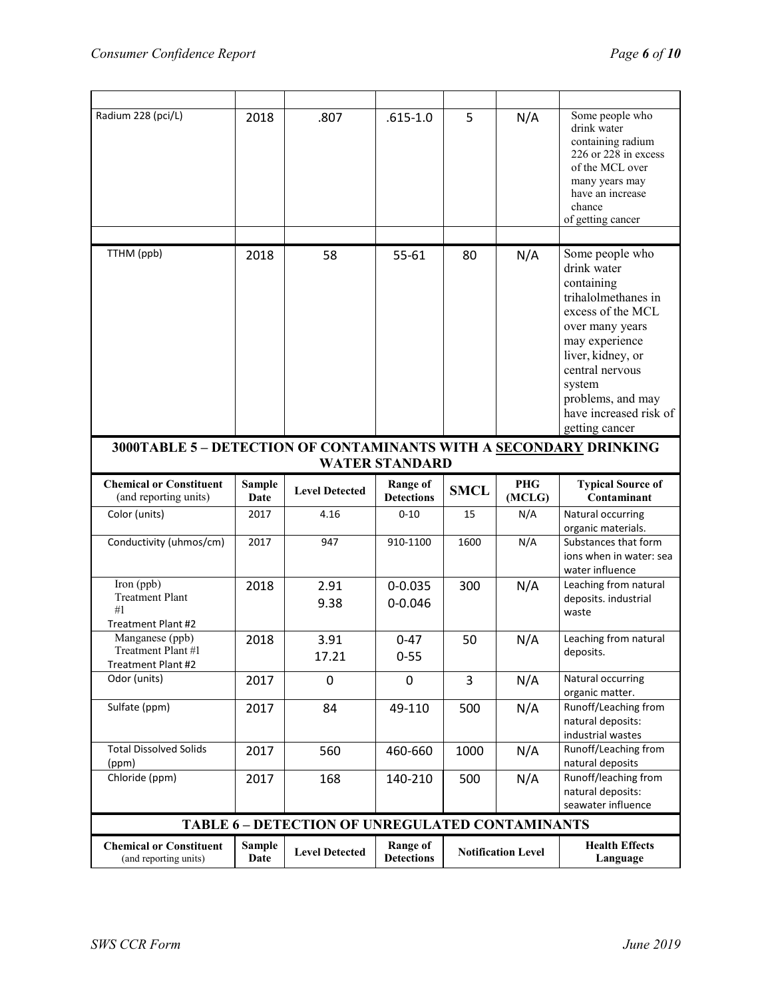| Radium 228 (pci/L)                                                | 2018                  | .807                                                   | $.615 - 1.0$                         | 5           | N/A                       | Some people who<br>drink water<br>containing radium<br>226 or 228 in excess<br>of the MCL over<br>many years may<br>have an increase<br>chance<br>of getting cancer                                                                              |
|-------------------------------------------------------------------|-----------------------|--------------------------------------------------------|--------------------------------------|-------------|---------------------------|--------------------------------------------------------------------------------------------------------------------------------------------------------------------------------------------------------------------------------------------------|
|                                                                   |                       |                                                        |                                      |             |                           |                                                                                                                                                                                                                                                  |
| TTHM (ppb)                                                        | 2018                  | 58                                                     | 55-61                                | 80          | N/A                       | Some people who<br>drink water<br>containing<br>trihalolmethanes in<br>excess of the MCL<br>over many years<br>may experience<br>liver, kidney, or<br>central nervous<br>system<br>problems, and may<br>have increased risk of<br>getting cancer |
| 3000TABLE 5 - DETECTION OF CONTAMINANTS WITH A SECONDARY DRINKING |                       |                                                        | <b>WATER STANDARD</b>                |             |                           |                                                                                                                                                                                                                                                  |
|                                                                   |                       |                                                        |                                      |             |                           |                                                                                                                                                                                                                                                  |
| <b>Chemical or Constituent</b><br>(and reporting units)           | <b>Sample</b><br>Date | <b>Level Detected</b>                                  | <b>Range of</b><br><b>Detections</b> | <b>SMCL</b> | <b>PHG</b><br>(MCLG)      | <b>Typical Source of</b><br>Contaminant                                                                                                                                                                                                          |
| Color (units)                                                     | 2017                  | 4.16                                                   | $0 - 10$                             | 15          | N/A                       | Natural occurring<br>organic materials.                                                                                                                                                                                                          |
| Conductivity (uhmos/cm)                                           | 2017                  | 947                                                    | 910-1100                             | 1600        | N/A                       | Substances that form<br>ions when in water: sea<br>water influence                                                                                                                                                                               |
| Iron (ppb)<br><b>Treatment Plant</b><br>#1<br>Treatment Plant #2  | 2018                  | 2.91<br>9.38                                           | $0 - 0.035$<br>$0 - 0.046$           | 300         | N/A                       | Leaching from natural<br>deposits. industrial<br>waste                                                                                                                                                                                           |
| Manganese (ppb)<br>Treatment Plant #1<br>Treatment Plant #2       | 2018                  | 3.91<br>17.21                                          | $0 - 47$<br>$0 - 55$                 | 50          | N/A                       | Leaching from natural<br>deposits.                                                                                                                                                                                                               |
| Odor (units)                                                      | 2017                  | 0                                                      | 0                                    | 3           | N/A                       | Natural occurring<br>organic matter.                                                                                                                                                                                                             |
| Sulfate (ppm)                                                     | 2017                  | 84                                                     | 49-110                               | 500         | N/A                       | Runoff/Leaching from<br>natural deposits:<br>industrial wastes                                                                                                                                                                                   |
| <b>Total Dissolved Solids</b><br>(ppm)                            | 2017                  | 560                                                    | 460-660                              | 1000        | N/A                       | Runoff/Leaching from<br>natural deposits                                                                                                                                                                                                         |
| Chloride (ppm)                                                    | 2017                  | 168                                                    | 140-210                              | 500         | N/A                       | Runoff/leaching from<br>natural deposits:<br>seawater influence                                                                                                                                                                                  |
|                                                                   |                       | <b>TABLE 6 - DETECTION OF UNREGULATED CONTAMINANTS</b> |                                      |             |                           |                                                                                                                                                                                                                                                  |
| <b>Chemical or Constituent</b><br>(and reporting units)           | <b>Sample</b>         | <b>Level Detected</b>                                  | <b>Range of</b>                      |             | <b>Notification Level</b> | <b>Health Effects</b>                                                                                                                                                                                                                            |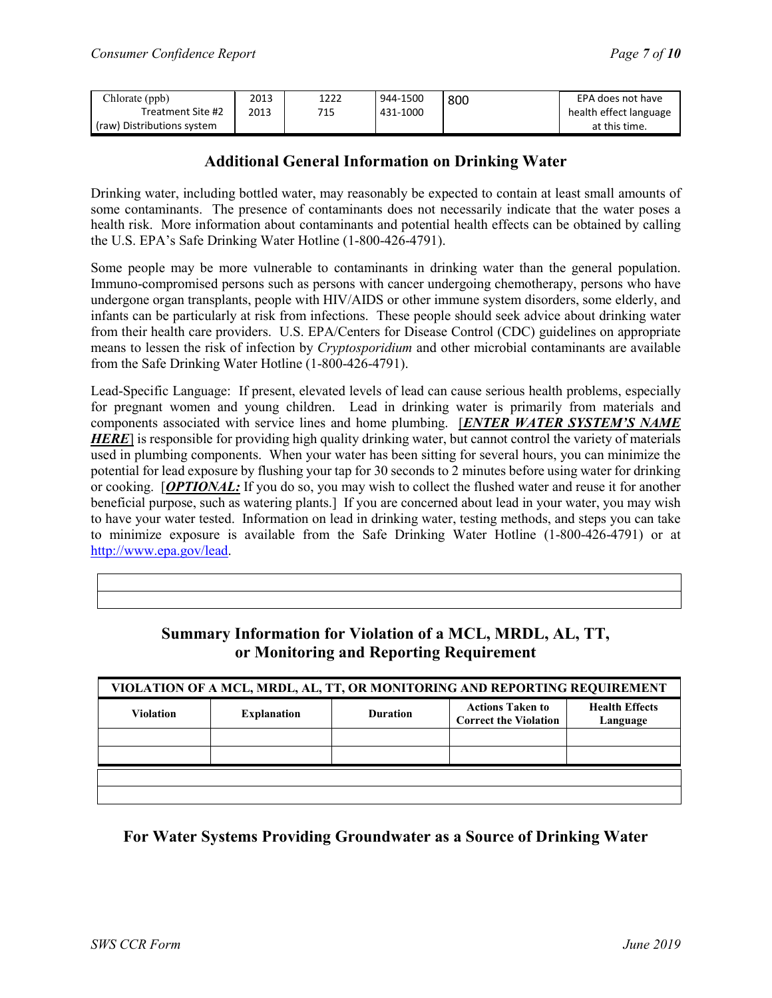| Chlorate (ppb)             | 2013 | 1222 | 944-1500 | 800 | EPA does not have      |
|----------------------------|------|------|----------|-----|------------------------|
| Treatment Site #2          | 2013 | 715  | 431-1000 |     | health effect language |
| (raw) Distributions system |      |      |          |     | at this time.          |

## **Additional General Information on Drinking Water**

Drinking water, including bottled water, may reasonably be expected to contain at least small amounts of some contaminants. The presence of contaminants does not necessarily indicate that the water poses a health risk. More information about contaminants and potential health effects can be obtained by calling the U.S. EPA's Safe Drinking Water Hotline (1-800-426-4791).

Some people may be more vulnerable to contaminants in drinking water than the general population. Immuno-compromised persons such as persons with cancer undergoing chemotherapy, persons who have undergone organ transplants, people with HIV/AIDS or other immune system disorders, some elderly, and infants can be particularly at risk from infections. These people should seek advice about drinking water from their health care providers. U.S. EPA/Centers for Disease Control (CDC) guidelines on appropriate means to lessen the risk of infection by *Cryptosporidium* and other microbial contaminants are available from the Safe Drinking Water Hotline (1-800-426-4791).

Lead-Specific Language: If present, elevated levels of lead can cause serious health problems, especially for pregnant women and young children. Lead in drinking water is primarily from materials and components associated with service lines and home plumbing. [*ENTER WATER SYSTEM'S NAME HERE*] is responsible for providing high quality drinking water, but cannot control the variety of materials used in plumbing components. When your water has been sitting for several hours, you can minimize the potential for lead exposure by flushing your tap for 30 seconds to 2 minutes before using water for drinking or cooking. [*OPTIONAL:* If you do so, you may wish to collect the flushed water and reuse it for another beneficial purpose, such as watering plants.] If you are concerned about lead in your water, you may wish to have your water tested. Information on lead in drinking water, testing methods, and steps you can take to minimize exposure is available from the Safe Drinking Water Hotline (1-800-426-4791) or at [http://www.epa.gov/lead.](http://www.epa.gov/lead)

| VIOLATION OF A MCL, MRDL, AL, TT, OR MONITORING AND REPORTING REQUIREMENT |                    |                 |                                                         |                                   |  |  |  |
|---------------------------------------------------------------------------|--------------------|-----------------|---------------------------------------------------------|-----------------------------------|--|--|--|
| <b>Violation</b>                                                          | <b>Explanation</b> | <b>Duration</b> | <b>Actions Taken to</b><br><b>Correct the Violation</b> | <b>Health Effects</b><br>Language |  |  |  |
|                                                                           |                    |                 |                                                         |                                   |  |  |  |
|                                                                           |                    |                 |                                                         |                                   |  |  |  |
|                                                                           |                    |                 |                                                         |                                   |  |  |  |
|                                                                           |                    |                 |                                                         |                                   |  |  |  |

## **Summary Information for Violation of a MCL, MRDL, AL, TT, or Monitoring and Reporting Requirement**

# **For Water Systems Providing Groundwater as a Source of Drinking Water**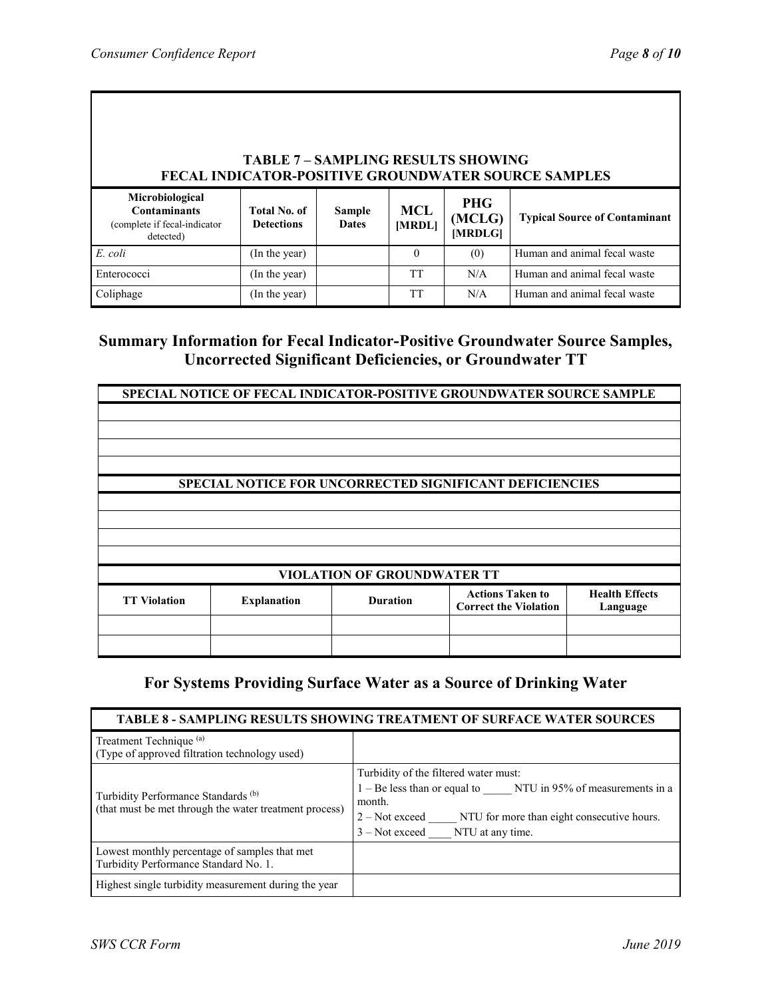| <b>TABLE 7 - SAMPLING RESULTS SHOWING</b><br><b>FECAL INDICATOR-POSITIVE GROUNDWATER SOURCE SAMPLES</b> |                                   |                               |               |                                 |                                      |  |  |
|---------------------------------------------------------------------------------------------------------|-----------------------------------|-------------------------------|---------------|---------------------------------|--------------------------------------|--|--|
| Microbiological<br><b>Contaminants</b><br>(complete if fecal-indicator)<br>detected)                    | Total No. of<br><b>Detections</b> | <b>Sample</b><br><b>Dates</b> | MCL<br>[MRDL] | <b>PHG</b><br>(MCLG)<br>[MRDLG] | <b>Typical Source of Contaminant</b> |  |  |
| E. coli                                                                                                 | (In the year)                     |                               | $\Omega$      | (0)                             | Human and animal fecal waste         |  |  |
| Enterococci                                                                                             | (In the year)                     |                               | <b>TT</b>     | N/A                             | Human and animal fecal waste         |  |  |
| Coliphage                                                                                               | (In the year)                     |                               | <b>TT</b>     | N/A                             | Human and animal fecal waste         |  |  |

# **Summary Information for Fecal Indicator-Positive Groundwater Source Samples, Uncorrected Significant Deficiencies, or Groundwater TT**

| SPECIAL NOTICE OF FECAL INDICATOR-POSITIVE GROUNDWATER SOURCE SAMPLE |                                                                |                 |                                                         |                                   |  |  |
|----------------------------------------------------------------------|----------------------------------------------------------------|-----------------|---------------------------------------------------------|-----------------------------------|--|--|
|                                                                      |                                                                |                 |                                                         |                                   |  |  |
|                                                                      |                                                                |                 |                                                         |                                   |  |  |
|                                                                      |                                                                |                 |                                                         |                                   |  |  |
|                                                                      |                                                                |                 |                                                         |                                   |  |  |
|                                                                      | <b>SPECIAL NOTICE FOR UNCORRECTED SIGNIFICANT DEFICIENCIES</b> |                 |                                                         |                                   |  |  |
|                                                                      |                                                                |                 |                                                         |                                   |  |  |
|                                                                      |                                                                |                 |                                                         |                                   |  |  |
|                                                                      |                                                                |                 |                                                         |                                   |  |  |
|                                                                      |                                                                |                 |                                                         |                                   |  |  |
| <b>VIOLATION OF GROUNDWATER TT</b>                                   |                                                                |                 |                                                         |                                   |  |  |
| <b>TT Violation</b>                                                  | <b>Explanation</b>                                             | <b>Duration</b> | <b>Actions Taken to</b><br><b>Correct the Violation</b> | <b>Health Effects</b><br>Language |  |  |
|                                                                      |                                                                |                 |                                                         |                                   |  |  |
|                                                                      |                                                                |                 |                                                         |                                   |  |  |

### **For Systems Providing Surface Water as a Source of Drinking Water**

#### **TABLE 8 - SAMPLING RESULTS SHOWING TREATMENT OF SURFACE WATER SOURCES** Treatment Technique (a) (Type of approved filtration technology used) Turbidity Performance Standards (b) (that must be met through the water treatment process) Turbidity of the filtered water must: 1 – Be less than or equal to NTU in 95% of measurements in a month. 2 – Not exceed \_\_\_\_\_ NTU for more than eight consecutive hours. 3 – Not exceed NTU at any time. Lowest monthly percentage of samples that met Turbidity Performance Standard No. 1. Highest single turbidity measurement during the year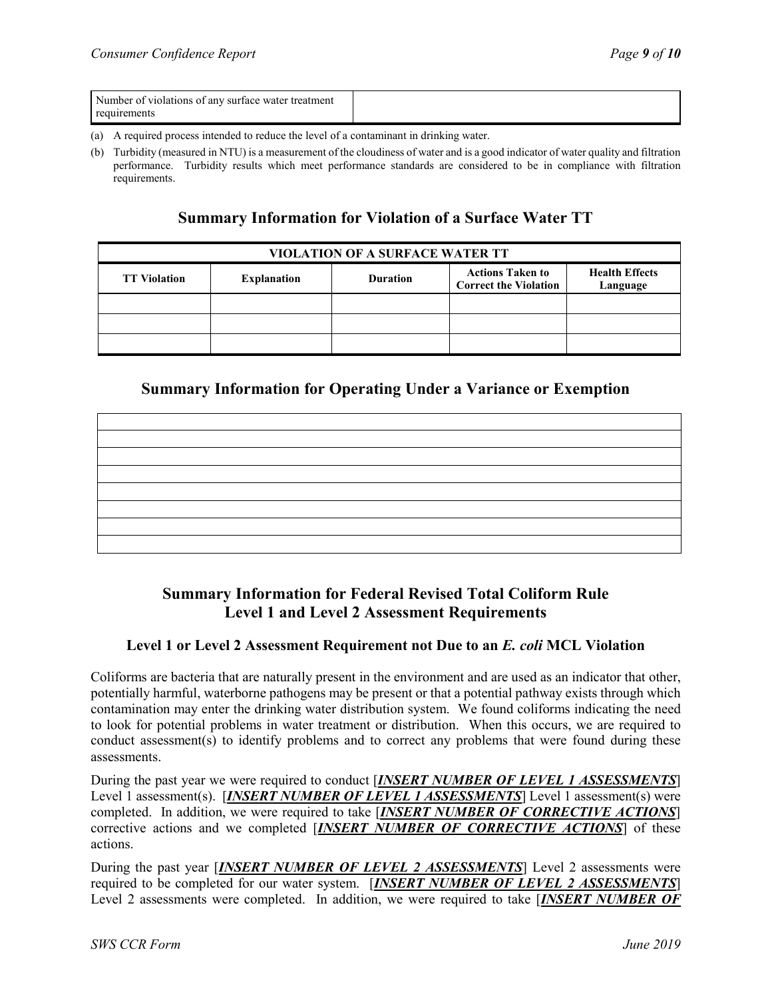| Number of violations of any surface water treatment |  |
|-----------------------------------------------------|--|
| requirements                                        |  |

- (a) A required process intended to reduce the level of a contaminant in drinking water.
- (b) Turbidity (measured in NTU) is a measurement of the cloudiness of water and is a good indicator of water quality and filtration performance. Turbidity results which meet performance standards are considered to be in compliance with filtration requirements.

## **Summary Information for Violation of a Surface Water TT**

| <b>VIOLATION OF A SURFACE WATER TT</b> |                    |                 |                                                         |                                   |  |  |  |
|----------------------------------------|--------------------|-----------------|---------------------------------------------------------|-----------------------------------|--|--|--|
| <b>TT Violation</b>                    | <b>Explanation</b> | <b>Duration</b> | <b>Actions Taken to</b><br><b>Correct the Violation</b> | <b>Health Effects</b><br>Language |  |  |  |
|                                        |                    |                 |                                                         |                                   |  |  |  |
|                                        |                    |                 |                                                         |                                   |  |  |  |
|                                        |                    |                 |                                                         |                                   |  |  |  |

## **Summary Information for Operating Under a Variance or Exemption**

# **Summary Information for Federal Revised Total Coliform Rule Level 1 and Level 2 Assessment Requirements**

#### **Level 1 or Level 2 Assessment Requirement not Due to an** *E. coli* **MCL Violation**

Coliforms are bacteria that are naturally present in the environment and are used as an indicator that other, potentially harmful, waterborne pathogens may be present or that a potential pathway exists through which contamination may enter the drinking water distribution system. We found coliforms indicating the need to look for potential problems in water treatment or distribution. When this occurs, we are required to conduct assessment(s) to identify problems and to correct any problems that were found during these assessments.

During the past year we were required to conduct [*INSERT NUMBER OF LEVEL 1 ASSESSMENTS*] Level 1 assessment(s). [*INSERT NUMBER OF LEVEL 1 ASSESSMENTS*] Level 1 assessment(s) were completed. In addition, we were required to take [*INSERT NUMBER OF CORRECTIVE ACTIONS*] corrective actions and we completed [*INSERT NUMBER OF CORRECTIVE ACTIONS*] of these actions.

During the past year [*INSERT NUMBER OF LEVEL 2 ASSESSMENTS*] Level 2 assessments were required to be completed for our water system. [*INSERT NUMBER OF LEVEL 2 ASSESSMENTS*] Level 2 assessments were completed. In addition, we were required to take [*INSERT NUMBER OF*